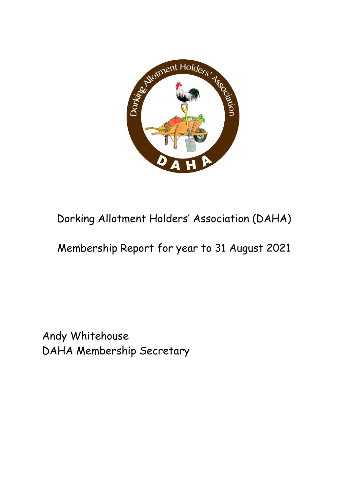

# Dorking Allotment Holders' Association (DAHA)

## Membership Report for year to 31 August 2021

Andy Whitehouse DAHA Membership Secretary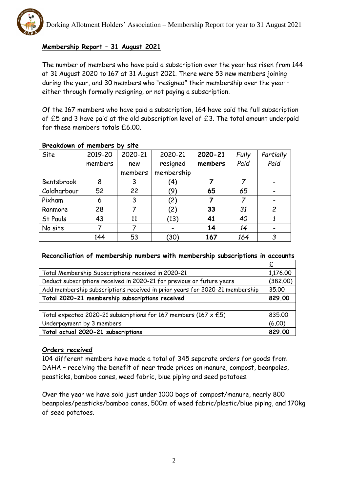

## **Membership Report – 31 August 2021**

The number of members who have paid a subscription over the year has risen from 144 at 31 August 2020 to 167 at 31 August 2021. There were 53 new members joining during the year, and 30 members who "resigned" their membership over the year – either through formally resigning, or not paying a subscription.

Of the 167 members who have paid a subscription, 164 have paid the full subscription of £5 and 3 have paid at the old subscription level of £3. The total amount underpaid for these members totals £6.00.

| Site        | 2019-20 | 2020-21 | 2020-21    | 2020-21 | Fully | Partially      |
|-------------|---------|---------|------------|---------|-------|----------------|
|             | members | new     | resigned   | members | Paid  | Paid           |
|             |         | members | membership |         |       |                |
| Bentsbrook  | 8       | 3       | '4)        |         | 7     |                |
| Coldharbour | 52      | 22      | (9)        | 65      | 65    |                |
| Pixham      | 6       | 3       | (2)        |         |       |                |
| Ranmore     | 28      |         | (2)        | 33      | 31    | $\overline{c}$ |
| St Pauls    | 43      | 11      | (13)       | 41      | 40    |                |
| No site     |         |         |            | 14      | 14    |                |
|             | 144     | 53      | (30)       | 167     | 164   | 3              |

## **Breakdown of members by site**

#### **Reconciliation of membership numbers with membership subscriptions in accounts**

|                                                                             | £      |  |
|-----------------------------------------------------------------------------|--------|--|
| Total Membership Subscriptions received in 2020-21                          |        |  |
| Deduct subscriptions received in 2020-21 for previous or future years       |        |  |
| Add membership subscriptions received in prior years for 2020-21 membership |        |  |
| Total 2020-21 membership subscriptions received                             |        |  |
|                                                                             |        |  |
| Total expected 2020-21 subscriptions for 167 members (167 $\times$ £5)      | 835.00 |  |
| Underpayment by 3 members                                                   |        |  |
| Total actual 2020-21 subscriptions                                          | 829.00 |  |

### **Orders received**

104 different members have made a total of 345 separate orders for goods from DAHA – receiving the benefit of near trade prices on manure, compost, beanpoles, peasticks, bamboo canes, weed fabric, blue piping and seed potatoes.

Over the year we have sold just under 1000 bags of compost/manure, nearly 800 beanpoles/peasticks/bamboo canes, 500m of weed fabric/plastic/blue piping, and 170kg of seed potatoes.